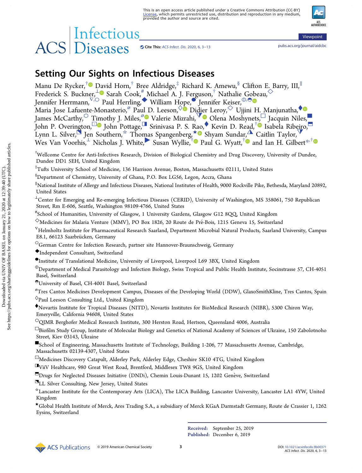# Cite This: <pubs.acs.org/journal/aidcbc> [ACS Infect. Dis.](http://pubs.acs.org/action/showCitFormats?doi=10.1021/acsinfecdis.9b00371) 2020, 6, 3−13

Viewpoint

ACS<br>AUTHORCHOICE

# Setting Our Sights on Infectious Diseases

Manu De Rycker,<sup>[†](#page-8-0)</sup> [Dav](#page-8-0)id Horn,<sup>†</sup> Bree Aldridge,<sup>‡</sup> Richard K. Amewu,<sup>§</sup> Clifton E. Barry, III,<sup>||</sup> Frederick S. Buckner, $^{\perp}$ ® Sarah Cook, $^{\#}$ Michael A. J. Ferguson, $^{\dagger}$  Nathalie G[obe](#page-8-0)au, $^{\diamondsuit}$ Jennifer Herrmann,  $\bar{V}^{(i)}$  Paul Herrling,◆ William H[ope](#page-8-0),  $\bullet$  Jennifer Keiser,  $0$ ,⊖ Maria Jose Lafuente-Monast[er](#page-8-0)io,<sup>⊗</sup> Paul D. Leeson,  $\Diamond$  Didier Leroy,  $\Diamond$  Ujjini H. Manjunatha,  $\Diamond$ James McCarthy,  $\circ$  T[im](#page-8-0)othy J. Mile[s,](#page-8-0)  $\circ$  Valerie Mizrahi,  $\circ$  Olena Moshynets,  $\circ$  Jacquin Niles, John P. Overington,<sup>⊡</sup> John Pottage,<sup>I</sup> Srinivasa P. S. Rao,◆ Kevin D. Read,<sup>†</sup> Isabela Ribeiro, Lynn L. Silve[r,](#page-8-0) $^{\blacktriangleright}$  Jen Southern, $^{\star}$  Thomas Spangenberg, $^{\star}$  Shyam Sundar, $^{\blacktriangle}$  Caitlin Taylor, $^{\blacktriangledown}$ Wes Van Voorhis,  $^{\perp}$  Nicholas J. White, Susan Wyllie, $^{\dagger}$  Paul G. Wyatt, $^{\dagger}$  and Ian H. Gilbert $^{*,\dagger}$  $^{*,\dagger}$  $^{*,\dagger}$ 

† Wellcome Centre for Anti-Infectives Research, Division of Biological Chemistry and Drug Discovery, University of Dundee, Dundee DD1 5EH, United Kingdom

‡ Tufts University School of Medicine, 136 Harrison Avenue, Boston, Massachusetts 02111, United States

 $^{\$}$ Department of Chemistry, University of Ghana, P.O. Box LG56, Legon, Accra, Ghana

∥ National Institute of Allergy and Infectious Diseases, National Institutes of Health, 9000 Rockville Pike, Bethesda, Maryland 20892, United States

<sup>⊥</sup>Center for Emerging and Re-emerging Infectious Diseases (CERID), University of Washington, MS 358061, 750 Republican Street, Rm E-606, Seattle, Washington 98109-4766, United States

# School of Humanities, University of Glasgow, 1 University Gardens, Glasgow G12 8QQ, United Kingdom

 $^{\diamondsuit}$ Medicines for Malaria Venture (MMV), PO Box 1826, 20 Route de Pré-Bois, 1215 Geneva 15, Switzerland

<sup>∇</sup>Helmholtz Institute for Pharmaceutical Research Saarland, Department Microbial Natural Products, Saarland University, Campus E8.1, 66123 Saarbrücken, Germany

○German Centre for Infection Research, partner site Hannover-Braunschweig, Germany

◆Independent Consultant, Switzerland

●Institute of Translational Medicine, University of Liverpool, Liverpool L69 3BX, United Kingdom

<sup>⦶</sup>Department of Medical Parasitology and Infection Biology, Swiss Tropical and Public Health Institute, Socinstrasse 57, CH-4051 Basel, Switzerland

◓University of Basel, CH-4001 Basel, Switzerland

 $^\varnothing$ Tres Cantos Medicines Development Campus, Diseases of the Developing World (DDW), GlaxoSmithKline, Tres Cantos, Spain  $\Diamond$ Paul Leeson Consulting Ltd., United Kingdom

<sup>⧫</sup>Novartis Institute for Tropical Diseases (NITD), Novartis Institutes for BioMedical Research (NIBR), 5300 Chiron Way, Emeryville, California 94608, United States

<sup>O</sup>QIMR Berghofer Medical Research Institute, 300 Herston Road, Hertson, Queensland 4006, Australia

□Biofilm Study Group, Institute of Molecular Biology and Genetics of National Academy of Sciences of Ukraine, 150 Zabolotnoho Street, Kiev 03143, Ukraine

■School of Engineering, Massachusetts Institute of Technology, Building 1-206, 77 Massachusetts Avenue, Cambridge, Massachusetts 02139-4307, United States

<sup>⊡</sup>Medicines Discovery Catapult, Alderley Park, Alderley Edge, Cheshire SK10 4TG, United Kingdom

◨ViiV Healthcare, 980 Great West Road, Brentford, Middlesex TW8 9GS, United Kingdom

□Drugs for Neglected Diseases Initiative (DNDi), Chemin Louis-Dunant 15, 1202 Genève, Switzerland

**ELL Silver Consulting, New Jersey, United States** 

☆Lancaster Institute for the Contemporary Arts (LICA), The LICA Building, Lancaster University, Lancaster LA1 4YW, United Kingdom

★Global Health Institute of Merck, Ares Trading S.A., a subsidiary of Merck KGaA Darmstadt Germany, Route de Crassier 1, 1262 Eysins, Switzerland

> Received: September 25, 2019 Published: December 6, 2019



© 2019 American Chemical Society 3 DOI: [10.1021/acsinfecdis.9b00371](http://dx.doi.org/10.1021/acsinfecdis.9b00371)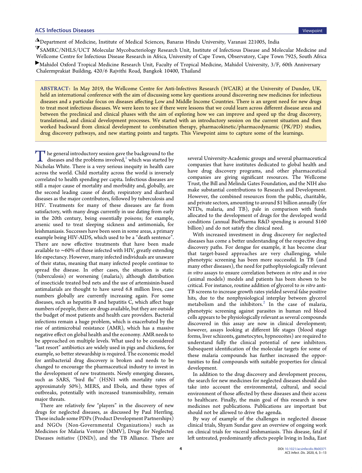<span id="page-1-0"></span>◮Department of Medicine, Institute of Medical Sciences, Banaras Hindu University, Varanasi 221005, India

<sup>⧩</sup>SAMRC/NHLS/UCT Molecular Mycobacteriology Research Unit, Institute of Infectious Disease and Molecular Medicine and Wellcome Centre for Infectious Disease Research in Africa, University of Cape Town, Observatory, Cape Town 7925, South Africa

▶Mahidol Oxford Tropical Medicine Research Unit, Faculty of Tropical Medicine, Mahidol University, 3/F, 60th Anniversary Chalermprakiat Building, 420/6 Rajvithi Road, Bangkok 10400, Thailand

ABSTRACT: In May 2019, the Wellcome Centre for Anti-Infectives Research (WCAIR) at the University of Dundee, UK, held an international conference with the aim of discussing some key questions around discovering new medicines for infectious diseases and a particular focus on diseases affecting Low and Middle Income Countries. There is an urgent need for new drugs to treat most infectious diseases. We were keen to see if there were lessons that we could learn across different disease areas and between the preclinical and clinical phases with the aim of exploring how we can improve and speed up the drug discovery, translational, and clinical development processes. We started with an introductory session on the current situation and then worked backward from clinical development to combination therapy, pharmacokinetic/pharmacodynamic (PK/PD) studies, drug discovery pathways, and new starting points and targets. This Viewpoint aims to capture some of the learnings.

 $\prod$  he general introductory session gave the background to the diseases and the problems involved, $\frac{1}{2}$  which was started by Nicholas White. There is a very serious inequity in health care Nicholas White. There is a very serious inequity in health care across the world. Child mortality across the world is inversely correlated to health spending per capita. Infectious diseases are still a major cause of mortality and morbidity and, globally, are the second leading cause of death; respiratory and diarrheal diseases as the major contributors, followed by tuberculosis and HIV. Treatments for many of these diseases are far from satisfactory, with many drugs currently in use dating from early in the 20th century, being essentially poisons; for example, arsenic used to treat sleeping sickness and antimonials, for leishmaniasis. Successes have been seen in some areas, a primary example being HIV-AIDS, which used to be a "death sentence". There are now effective treatments that have been made available to ∼60% of those infected with HIV, greatly extending life expectancy. However, many infected individuals are unaware of their status, meaning that many infected people continue to spread the disease. In other cases, the situation is static (tuberculosis) or worsening (malaria); although distribution of insecticide treated bed nets and the use of artemisinin-based antimalarials are thought to have saved 6.8 million lives, case numbers globally are currently increasing again. For some diseases, such as hepatitis B and hepatitis C, which affect huge numbers of people, there are drugs available, but they are outside the budget of most patients and health care providers. Bacterial infections remain a huge problem, which is exacerbated by the rise of antimicrobial resistance (AMR), which has a massive negative effect on global health and the economy. AMR needs to be approached on multiple levels. What used to be considered "last resort" antibiotics are widely used in pigs and chickens, for example, so better stewardship is required. The economic model for antibacterial drug discovery is broken and needs to be changed to encourage the pharmaceutical industry to invest in the development of new treatments. Newly emerging diseases, such as SARS, "bird flu" (H5N1 with mortality rates of approximately 50%), MERS, and Ebola, and these types of outbreaks, potentially with increased transmissibility, remain major threats.

There are relatively few "players" in the discovery of new drugs for neglected diseases, as discussed by Paul Herrling. These include some PDPs (Product Development Partnerships) and NGOs (Non-Governmental Organizations) such as Medicines for Malaria Venture (MMV), Drugs for Neglected Diseases initiative (DNDi), and the TB Alliance. There are

several University-Academic groups and several pharmaceutical companies that have institutes dedicated to global health and have drug discovery programs, and other pharmaceutical companies are giving significant resources. The Wellcome Trust, the Bill and Melinda Gates Foundation, and the NIH also make substantial contributions to Research and Development. However, the combined resources from the public, charitable, and private sectors, amounting to around \$1 billion annually (for NTDs, malaria, and TB), pale in comparison with funds allocated to the development of drugs for the developed world conditions (annual BioPharma R&D spending is around \$160 billion) and do not satisfy the clinical need.

With increased investment in drug discovery for neglected diseases has come a better understanding of the respective drug discovery paths. For dengue for example, it has become clear that target-based approaches are very challenging, while phenotypic screening has been more successful. In TB (and many other diseases), the need for pathophysiologically relevant in vitro assays to ensure correlation between in vitro and in vivo (animal models) models and patients has been shown to be critical. For instance, routine addition of glycerol to in vitro anti-TB screens to increase growth rates yielded several false positive hits, due to the nonphysiological interplay between glycerol metabolism and the inhibitors.<sup>[2](#page-8-0)</sup> In the case of malaria, phenotypic screening against parasites in human red blood cells appears to be physiologically relevant as several compounds discovered in this assay are now in clinical development; however, assays looking at different life stages (blood stage forms, liver schizonts, gametocytes, hypnozoites) are required to understand fully the clinical potential of new inhibitors. Subsequent identification of the molecular targets for some of these malaria compounds has further increased the opportunities to find compounds with suitable properties for clinical development.

In addition to the drug discovery and development process, the search for new medicines for neglected diseases should also take into account the environmental, cultural, and social environment of those affected by these diseases and their access to healthcare. Finally, the main goal of this research is new medicines not publications. Publications are important but should not be allowed to drive the agenda.

By way of example of the challenges in neglected disease clinical trials, Shyam Sundar gave an overview of ongoing work on clinical trials for visceral leishmaniasis. This disease, fatal if left untreated, predominantly affects people living in India, East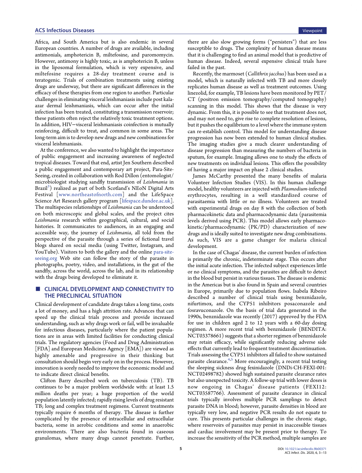# ACS Infectious Diseases Viewpoint

Africa, and South America but is also endemic in several European countries. A number of drugs are available, including antimonials, amphotericin B, miltefosine, and paromomycin. However, antimony is highly toxic, as is amphotericin B, unless in the liposomal formulation, which is very expensive, and miltefosine requires a 28-day treatment course and is teratogenic. Trials of combination treatments using existing drugs are underway, but there are significant differences in the efficacy of these therapies from one region to another. Particular challenges in eliminating visceral leishmaniasis include post kalaazar dermal leishmaniasis, which can occur after the initial infection has been treated, constituting a transmission reservoir; these patients often reject the relatively toxic treatment options. In addition, HIV−visceral leishmaniasis coinfection is mutually reinforcing, difficult to treat, and common in some areas. The long-term aim is to develop new drugs and new combinations for visceral leishmaniasis.

At the conference, we also wanted to highlight the importance of public engagement and increasing awareness of neglected tropical diseases. Toward that end, artist Jen Southern described a public engagement and contemporary art project, Para-Site-Seeing, created in collaboration with Rod Dillon (entomologist/ microbiologist studying sandfly transmission of Leishmania in Brazil<sup>3</sup>) realized as part of both Scotland's NEoN Digital Arts Festival [[www.northeastofnorth.com](http://www.northeastofnorth.com)] and the LifeSpace Science Art Research gallery program [[lifespace.dundee.ac.uk\]](lifespace.dundee.ac.uk). The multispecies relationships of Leishmania can be understood on both microscopic and global scales, and the project cites Leishmania research within geographical, cultural, and social histories. It communicates to audiences, in an engaging and accessible way, the journey of Leishmania, all told from the perspective of the parasite through a series of fictional travel blogs shared on social media (using Twitter, Instagram, and YouTube). Visitors to both the gallery and the online [para-site](http://para-site-seeing.org)[seeing.org](http://para-site-seeing.org) Web site can follow the story of the parasite in photographs, poetry, video, and installations, in the gut of the sandfly, across the world, across the lab, and in its relationship with the drugs being developed to eliminate it.

# CLINICAL DEVELOPMENT AND CONNECTIVITY TO THE PRECLINICAL SITUATION

Clinical development of candidate drugs takes a long time, costs a lot of money, and has a high attrition rate. Advances that can speed up the clinical trials process and provide increased understanding, such as why drugs work or fail, will be invaluable for infectious diseases, particularly where the patient populations are in areas with limited facilities for conducting clinical trials. The regulatory agencies (Food and Drug Administration [FDA] and European Medicines Agency [EMA]) are viewed as highly amenable and progressive in their thinking but consultation should begin very early on in the process. However, innovation is sorely needed to improve the economic model and to indicate direct clinical benefits.

Clifton Barry described work on tuberculosis (TB). TB continues to be a major problem worldwide with: at least 1.5 million deaths per year; a huge proportion of the world population latently infected; rapidly rising levels of drug resistant TB; long and complex treatment regimens. Current treatments typically require 6 months of therapy. The disease is further complicated by the presence of intracellular and extracellular bacteria, some in aerobic conditions and some in anaerobic environments. There are also bacteria found in caseous granulomas, where many drugs cannot penetrate. Further,

there are also slow growing forms ("persisters") that are less susceptible to drugs. The complexity of human disease means that it is challenging to find an animal model that is predictive of human disease. Indeed, several expensive clinical trials have failed in the past.

Recently, the marmoset (Callithrix jacchus) has been used as a model, which is naturally infected with TB and more closely replicates human disease as well as treatment outcomes. Using linezolid, for example, TB lesions have been monitored by PET/ CT (positron emission tomography/computed tomography) scanning in this model. This shows that the disease is very dynamic. From this, it is possible to see that treatment does not, and may not need to, give rise to complete resolution of lesions, but it pushes the equilibrium to a level where the immune system can re-establish control. This model for understanding disease progression has now been extended to human clinical studies. The imaging studies give a much clearer understanding of disease progression than measuring the numbers of bacteria in sputum, for example. Imaging allows one to study the effects of new treatments on individual lesions. This offers the possibility of having a major impact on phase 2 clinical studies.

James McCarthy presented the many benefits of malaria Volunteer Infection Studies (VIS). In this human challenge model, healthy volunteers are injected with Plasmodium-infected erythrocytes, resulting in a well standardized course of parasitaemia with little or no illness. Volunteers are treated with experimental drugs on day 8 with the collection of both pharmacokinetic data and pharmacodynamic data (parasitemia levels derived using PCR). This model allows early pharmacokinetic/pharmacodynamic (PK/PD) characterization of new drugs and is ideally suited to investigate new drug combinations. As such, VIS are a game changer for malaria clinical development.

In the case of Chagas' disease, the current burden of infection is primarily the chronic, indeterminate stage. This occurs after the initial acute infection. The infected subject experiences little or no clinical symptoms, and the parasites are difficult to detect in the blood but persist in various tissues. The disease is endemic in the Americas but is also found in Spain and several countries in Europe, primarily due to population flows. Isabela Ribeiro described a number of clinical trials using benznidazole, nifurtimox, and the CYP51 inhibitors posaconazole and fosravuconazole. On the basis of trial data generated in the 1990s, benznidazole was recently (2017) approved by the FDA for use in children aged 2 to 12 years with a 60-day dosing regimen. A more recent trial with benznidazole (BENDITA: NCT03378661) suggests that a shorter regimen of benznidazole may retain efficacy, while significantly reducing adverse side effects that currently lead to frequent treatment discontinuation. Trials assessing the CYP51 inhibitors all failed to show sustained parasite clearance.<sup>[4,5](#page-8-0)</sup> More encouragingly, a recent trial testing the sleeping sickness drug fexinidazole (DNDi-CH-FEXI-001: NCT02498782) showed high sustained parasite clearance rates but also unexpected toxicity. A follow-up trial with lower doses is now ongoing in Chagas' disease patients (FEXI12: NCT03587766). Assessment of parasite clearance in clinical trials typically involves multiple PCR samplings to detect parasite DNA in blood; however, parasite densities in blood are typically very low, and negative PCR results do not equate to cure. This presents particular challenges in the chronic stage, where reservoirs of parasites may persist in inaccessible tissues and cardiac involvement may be present prior to therapy. To increase the sensitivity of the PCR method, multiple samples are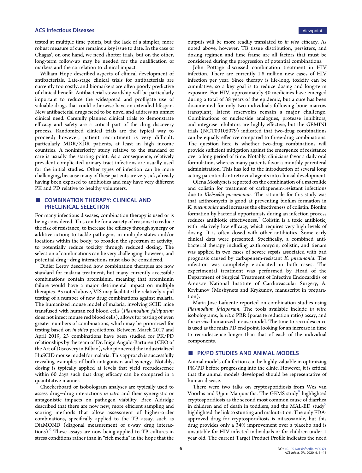tested at multiple time points, but the lack of a simpler, more robust measure of cure remains a key issue to date. In the case of Chagas', on one hand, we need shorter trials, but on the other, long-term follow-up may be needed for the qualification of markers and the correlation to clinical impact.

William Hope described aspects of clinical development of antibacterials. Late-stage clinical trials for antibacterials are currently too costly, and biomarkers are often poorly predictive of clinical benefit. Antibacterial stewardship will be particularly important to reduce the widespread and profligate use of valuable drugs that could otherwise have an extended lifespan. New antibacterial drugs need to be novel and address an unmet clinical need. Carefully planned clinical trials to demonstrate efficacy and safety are a critical part of the drug discovery process. Randomized clinical trials are the typical way to proceed; however, patient recruitment is very difficult, particularly MDR/XDR patients, at least in high income countries. A noninferiority study relative to the standard of care is usually the starting point. As a consequence, relatively prevalent complicated urinary tract infections are usually used for the initial studies. Other types of infection can be more challenging, because many of these patients are very sick, already having been exposed to antibiotics and may have very different PK and PD relative to healthy volunteers.

# **COMBINATION THERAPY: CLINICAL AND** PRECLINICAL SELECTION

For many infectious diseases, combination therapy is used or is being considered. This can be for a variety of reasons: to reduce the risk of resistance; to increase the efficacy through synergy or additive action; to tackle pathogens in multiple states and/or locations within the body; to broaden the spectrum of activity; to potentially reduce toxicity through reduced dosing. The selection of combinations can be very challenging, however, and potential drug−drug interactions must also be considered.

Didier Leroy described how combination therapies are now standard for malaria treatment, but many currently accessible combinations contain artemisinin, meaning that artemisinin failure would have a major detrimental impact on multiple therapies. As noted above, VIS may facilitate the relatively rapid testing of a number of new drug combinations against malaria. The humanized mouse model of malaria, involving SCID mice transfused with human red blood cells (Plasmodium falciparum does not infect mouse red blood cells), allows for testing of even greater numbers of combinations, which may be prioritized for testing based on in silico predictions. Between March 2017 and April 2019, 23 combinations have been studied for PK/PD relationships by the team of Dr. Inigo Angulo-Barturen (CEO of the Art of Discovery in Bilbao), who pioneered the industrialized HuSCID mouse model for malaria. This approach is successfully revealing examples of both antagonism and synergy. Notably, dosing is typically applied at levels that yield recrudescence within 60 days such that drug efficacy can be compared in a quantitative manner.

Checkerboard or isobologram analyses are typically used to assess drug−drug interactions in vitro and their synergistic or antagonistic impacts on pathogen viability. Bree Aldridge described that there are now new, more efficient sampling and scoring methods that allow assessment of higher-order combinations, specifically applied to the TB assay, such as DiaMOND (diagonal measurement of n-way drug interactions)[.6](#page-8-0) These assays are now being applied to TB cultures in stress conditions rather than in "rich media" in the hope that the

outputs will be more readily translated to in vivo efficacy. As noted above, however, TB tissue distribution, persisters, and dosing regimen and time frame are all factors that must be considered during the progression of potential combinations.

John Pottage discussed combination treatment in HIV infection. There are currently 1.8 million new cases of HIV infection per year. Since therapy is life-long, toxicity can be cumulative, so a key goal is to reduce dosing and long-term exposure. For HIV, approximately 40 medicines have emerged during a total of 38 years of the epidemic, but a cure has been documented for only two individuals following bone marrow transplant; latent reservoirs remain a major challenge. Combinations of nucleoside analogues, protease inhibitors, and integrase inhibitors are highly effective, but the GEMINI trials (NCT00105079) indicated that two-drug combinations can be equally effective compared to three-drug combinations. The question here is whether two-drug combinations will provide sufficient mitigation against the emergence of resistance over a long period of time. Notably, clinicians favor a daily oral formulation, whereas many patients favor a monthly parenteral administration. This has led to the introduction of several long acting parenteral antiretroviral agents into clinical development.

Olena Moshynets reported on the combination of a macrolide and colistin for treatment of carbapenem-resistant infections due to Klebsiella pneumoniae. The rationale for this study was that azithromycin is good at preventing biofilm formation in K. pneumoniae and increases the effectiveness of colistin. Biofilm formation by bacterial opportunists during an infection process reduces antibiotic effectiveness.<sup>[7](#page-9-0)</sup> Colistin is a toxic antibiotic, with relatively low efficacy, which requires very high levels of dosing. It is often dosed with other antibiotics. Some early clinical data were presented. Specifically, a combined antibacterial therapy including azithromycin, colistin, and tienam was applied in two cases of severe sepsis associated with bad prognosis caused by carbapenem-resistant K. pneumonia. The infection was completely eradicated in both cases. The experimental treatment was performed by Head of the Department of Surgical Treatment of Infective Endocarditis of Amosov National Institute of Cardiovascular Surgery, A. Krykunov (Moshynets and Krykunov, manuscript in preparation).

Maria Jose Lafuente reported on combination studies using Plasmodium falciparum. The tools available include in vitro isobolograms, in vitro PRR (parasite reduction ratio) assay, and the in vivo humanized mouse model. The time to recrudescence is used as the main PD end point, looking for an increase in time to recrudescence longer than that of each of the individual components.

# ■ PK/PD STUDIES AND ANIMAL MODELS

Animal models of infection can be highly valuable in optimizing PK/PD before progressing into the clinic. However, it is critical that the animal models developed should be representative of human disease.

There were two talks on cryptosporidiosis from Wes van Voorhis and Ujjini Manjunatha. The GEMS study<sup>8</sup> highlighted cryptosporidiosis as the second most common cause of diarrhea in children and of death in toddlers, and the MAL-ED study<sup>[9](#page-9-0)</sup> highlighted the link to stunting and malnutrition. The only FDAapproved drug for cryptosporidiosis is nitazoxanide, but this drug provides only a 34% improvement over a placebo and is unsuitable for HIV-infected individuals or for children under 1 year old. The current Target Product Profile indicates the need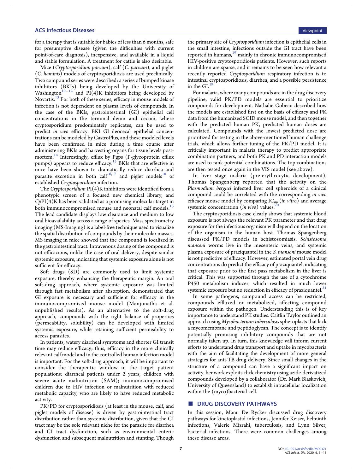for a therapy that is suitable for babies of less than 6 months, safe for presumptive disease (given the difficulties with current point-of-care diagnosis), inexpensive, and available in a liquid and stable formulation. A treatment for cattle is also desirable.

Mice (Cryptosporidium parvum), calf (C. parvum), and piglet (C. hominis) models of cryptosporidiosis are used preclinically. Two compound series were described: a series of bumped kinase inhibitors (BKIs) being developed by the University of Washington<sup>10−[12](#page-9-0)</sup> and PI(4)K inhibitors being developed by Novartis.<sup>[13](#page-9-0)</sup> For both of these series, efficacy in mouse models of infection is not dependent on plasma levels of compounds. In the case of the BKIs, gastrointestinal (GI) epithelial cell concentrations in the terminal ileum and cecum, where cryptosporidium predominately replicates, can be used to predict in vivo efficacy. BKI GI ileocecal epithelial concentrations can be modeled by GastroPlus, and these modeled levels have been confirmed in mice during a time course after administering BKIs and harvesting organs for tissue levels postmortem.[14](#page-9-0) Interestingly, efflux by Pgps (P-glycoprotein efflux pumps) appears to reduce efficacy.<sup>[15](#page-9-0)</sup> BKIs that are effective in mice have been shown to dramatically reduce diarrhea and parasite excretion in both cal $f^{16,17}$  $f^{16,17}$  $f^{16,17}$  and piglet models<sup>[18](#page-9-0)</sup> of established Cryptosporidium infection.

The Cryptosporidium  $PI(4)K$  inhibitors were identified from a phenotypic screen of a focused new chemical library, and  $CpPI(4)K$  has been validated as a promising molecular target in both immunocompromised mouse and neonatal calf models.<sup>1</sup> The lead candidate displays low clearance and medium to low oral bioavailability across a range of species. Mass spectrometry imaging (MS-Imaging) is a label-free technique used to visualize the spatial distribution of compounds by their molecular masses. MS imaging in mice showed that the compound is localized in the gastrointestinal tract. Intravenous dosing of the compound is not efficacious, unlike the case of oral delivery, despite similar systemic exposure, indicating that systemic exposure alone is not sufficient for efficacy.

Soft drugs (SD) are commonly used to limit systemic exposure, thereby enhancing the therapeutic margin. An oral soft-drug approach, where systemic exposure was limited through fast metabolism after absorption, demonstrated that GI exposure is necessary and sufficient for efficacy in the immunocompromised mouse model (Manjunatha et al. unpublished results). As an alternative to the soft-drug approach, compounds with the right balance of properties (permeability, solubility) can be developed with limited systemic exposure, while retaining sufficient permeability to access parasites.

In patients, watery diarrheal symptoms and shorter GI transit time may reduce efficacy; thus, efficacy in the more clinically relevant calf model and in the controlled human infection model is important. For the soft-drug approach, it will be important to consider the therapeutic window in the target patient populations: diarrheal patients under 2 years; children with severe acute malnutrition (SAM); immunocompromised children due to HIV infection or malnutrition with reduced metabolic capacity, who are likely to have reduced metabolic activity.

PK/PD for cryptosporidiosis (at least in the mouse, calf, and piglet models of disease) is driven by gastrointestinal tract distribution rather than systemic distribution, given that the GI tract may be the sole relevant niche for the parasite for diarrhea and GI tract dysfunction, such as environmental enteric dysfunction and subsequent malnutrition and stunting. Though

the primary site of Cryptosporidium infection is epithelial cells in the small intestine, infections outside the GI tract have been reported in humans,<sup>[19](#page-9-0)</sup> mainly in chronic immunocompromised HIV-positive cryptosporidiosis patients. However, such reports in children are sparse, and it remains to be seen how relevant a recently reported Cryptosporidium respiratory infection is to intestinal cryptosporidiosis, diarrhea, and a possible persistence in the  $GI<sup>19</sup>$  $GI<sup>19</sup>$  $GI<sup>19</sup>$ 

For malaria, where many compounds are in the drug discovery pipeline, valid PK/PD models are essential to prioritize compounds for development. Nathalie Gobeau described how the models are established first on the basis of efficacy and PK data from the humanized SCID mouse model, and then together with the predicted human PK, predicted human doses are calculated. Compounds with the lowest predicted dose are prioritized for testing in the above-mentioned human challenge trials, which allows further tuning of the PK/PD model. It is critically important in malaria therapy to predict appropriate combination partners, and both PK and PD interaction models are used to rank potential combinations. The top combinations are then tested once again in the VIS model (see above).

In liver stage malaria (pre-erythrocytic development), Thomas Spangenberg reported that the activity on the Plasmodium berghei infected liver cell spheroids of a clinical compound could be correlated with the corresponding in vivo efficacy mouse model by comparing  $IC_{99}$  (in vitro) and average systemic concentration  $(in vivo)$  values.

The cryptosporidiosis case clearly shows that systemic blood exposure is not always the relevant PK parameter and that drug exposure for the infectious organism will depend on the location of the organism in the human host. Thomas Spangenberg discussed PK/PD models in schistosomiasis. Schistosoma mansoni worms live in the mesenteric veins, and systemic plasma exposure of praziquantel in the S. mansoni mouse model is not predictive of efficacy. However, estimated portal vein drug concentrations do predict the efficacy of praziquantel, indicating that exposure prior to the first pass metabolism in the liver is critical. This was supported through the use of a cytochrome P450 metabolism inducer, which resulted in much lower systemic exposure but no reduction in efficacy of praziquantel.<sup>21</sup>

In some pathogens, compound access can be restricted, compounds effluxed or metabolized, affecting compound exposure within the pathogen. Understanding this is of key importance to understand PK studies. Caitlin Taylor outlined an approach using Mycobacterium tuberculosis spheroplasts that lack a mycomembrane and peptidoglycan. The concept is to identify potentially promising inhibitory compounds that are not normally taken up. In turn, this knowledge will inform current efforts to understand drug transport and uptake in mycobacteria with the aim of facilitating the development of more general strategies for anti-TB drug delivery. Since small changes in the structure of a compound can have a significant impact on activity, her work exploits click chemistry using azide-derivatized compounds developed by a collaborator (Dr. Mark Blaskovich, University of Queensland) to establish intracellular localization within the (myco)bacterial cell.

### ■ DRUG DISCOVERY PATHWAYS

In this session, Manu De Rycker discussed drug discovery pathways for kinetoplastid infections, Jennifer Keiser, helminth infections, Valerie Mizrahi, tuberculosis, and Lynn Silver, bacterial infections. There were common challenges among these disease areas.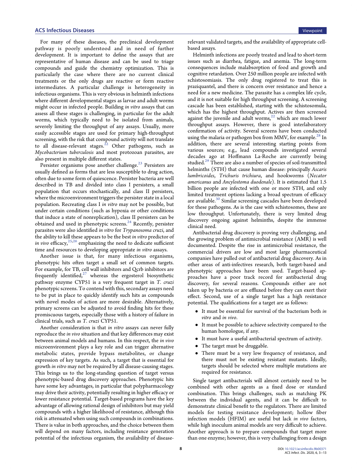For many of these diseases, the preclinical development pathway is poorly understood and in need of further development. It is important to define the assays that are representative of human disease and can be used to triage compounds and guide the chemistry optimization. This is particularly the case where there are no current clinical treatments or the only drugs are reactive or form reactive intermediates. A particular challenge is heterogeneity in infectious organisms. This is very obvious in helminth infections where different developmental stages as larvae and adult worms might occur in infected people. Building in vitro assays that can assess all these stages is challenging, in particular for the adult worms, which typically need to be isolated from animals, severely limiting the throughput of any assays. Usually, more easily accessible stages are used for primary high-throughput screening, with the risk that compound activity will not translate to all disease-relevant stages.<sup>[22](#page-9-0)</sup> Other pathogens, such as Mycobacterium tuberculosis and most protozoan parasites, are also present in multiple different states.

Persister organisms pose another challenge.<sup>[23](#page-9-0)</sup> Persisters are usually defined as forms that are less susceptible to drug action, often due to some form of quiescence. Persister bacteria are well described in TB and divided into class I persisters, a small population that occurs stochastically, and class II persisters, where the microenvironment triggers the persister state in a local population. Recreating class I in vitro may not be possible, but under certain conditions (such as hypoxia or other conditions that induce a state of nonreplication), class II persisters can be obtained and used in phenotypic screens.<sup>[24](#page-9-0)</sup> Recently, persister parasites were also identified in vitro for Trypanosoma cruzi, and the ability to kill these appears to be the best in vitro predictor of in vivo efficacy,  $^{25,26}$  $^{25,26}$  $^{25,26}$  emphasizing the need to dedicate sufficient time and resources to developing appropriate in vitro assays.

Another issue is that, for many infectious organisms, phenotypic hits often target a small set of common targets. For example, for TB, cell wall inhibitors and Qcrb inhibitors are frequently identified, $27$  whereas the ergosterol biosynthetic pathway enzyme CYP51 is a very frequent target in T. cruzi phenotypic screens. To contend with this, secondary assays need to be put in place to quickly identify such hits as compounds with novel modes of action are more desirable. Alternatively, primary screens can be adjusted to avoid finding hits for these promiscuous targets, especially those with a history of failure in clinical trials, such as T. cruzi CYP51.

Another consideration is that in vitro assays can never fully reproduce the in vivo situation and that key differences may exist between animal models and humans. In this respect, the in vivo microenvironment plays a key role and can trigger alternative metabolic states, provide bypass metabolites, or change expression of key targets. As such, a target that is essential for growth in vitro may not be required by all disease-causing stages. This brings us to the long-standing question of target versus phenotypic-based drug discovery approaches. Phenotypic hits have some key advantages, in particular that polypharmacology may drive their activity, potentially resulting in higher efficacy or lower resistance potential. Target-based programs have the key advantage of allowing rational design of inhibitors but may yield compounds with a higher likelihood of resistance, although this risk is attenuated when using such compounds in combinations. There is value in both approaches, and the choice between them will depend on many factors, including resistance generation potential of the infectious organism, the availability of diseaserelevant validated targets, and the availability of appropriate cellbased assays.

Helminth infections are poorly treated and lead to short-term issues such as diarrhea, fatigue, and anemia. The long-term consequences include malabsorption of food and growth and cognitive retardation. Over 250 million people are infected with schistosomiasis. The only drug registered to treat this is praziquantel, and there is concern over resistance and hence a need for a new medicine. The parasite has a complex life cycle, and it is not suitable for high throughput screening. A screening cascade has been established, starting with the schistosomula, which has the highest throughput. Actives are then screened against the juvenile and adult worms, $^{22}$  which are much lower throughput assays. However, there is good interlaboratory confirmation of activity. Several screens have been conducted using the malaria or pathogen box from MMV, for example.<sup>28</sup> In addition, there are several interesting starting points from various sources; e.g., lead compounds investigated several decades ago at Hoffmann La-Roche are currently being studied.<sup>[29](#page-10-0)</sup> There are also a number of species of soil-transmitted helminths (STH) that cause human disease: principally Ascaris lumbricoides, Trichuris trichiura, and hookworms (Necator americanus and Ancylostoma duodenale). It is estimated that 1.5 billion people are infected with one or more STH, and only limited treatment options lacking a broad spectrum of efficacy are available.<sup>[30](#page-10-0)</sup> Similar screening cascades have been developed for these pathogens. As is the case with schistosomes, these are low throughput. Unfortunately, there is very limited drug discovery ongoing against helminths, despite the immense clinical need.

Antibacterial drug discovery is proving very challenging, and the growing problem of antimicrobial resistance (AMR) is well documented. Despite the rise in antimicrobial resistance, the commercial drivers are low and most large pharmaceutical companies have pulled out of antibacterial drug discovery. As in other areas of anti-infectives research, both target-based and phenotypic approaches have been used. Target-based approaches have a poor track record for antibacterial drug discovery, for several reasons. Compounds either are not taken up by bacteria or are effluxed before they can exert their effect. Second, use of a single target has a high resistance potential. The qualifications for a target are as follows:

- It must be essential for survival of the bacterium both in vitro and in vivo.
- It must be possible to achieve selectivity compared to the human homologue, if any.
- It must have a useful antibacterial spectrum of activity.
- The target must be druggable.
- There must be a very low frequency of resistance, and there must not be existing resistant mutants. Ideally, targets should be selected where multiple mutations are required for resistance.

Single target antibacterials will almost certainly need to be combined with other agents as a fixed dose or standard combination. This brings challenges, such as matching PK between the individual agents, and it can be difficult to demonstrate clinical benefit to the regulators. There are limited models for testing resistance development; hollow fiber infection models (HFIM) are useful but lack in vivo factors, while high inoculum animal models are very difficult to achieve. Another approach is to prepare compounds that target more than one enzyme; however, this is very challenging from a design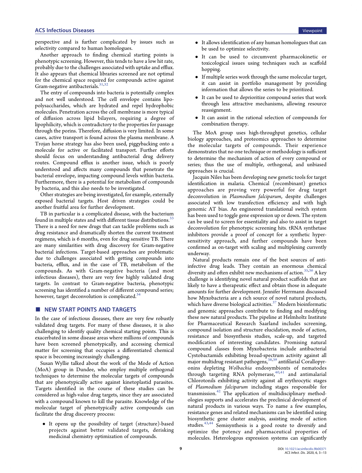# ACS Infectious Diseases **Viewpoint** Viewpoint

perspective and is further complicated by issues such as selectivity compared to human homologues.

Another approach to finding chemical starting points is phenotypic screening. However, this tends to have a low hit rate, probably due to the challenges associated with uptake and efflux. It also appears that chemical libraries screened are not optimal for the chemical space required for compounds active against Gram-negative antibacterials.<sup>31,[32](#page-10-0)</sup>

The entry of compounds into bacteria is potentially complex and not well understood. The cell envelope contains lipopolysaccharides, which are hydrated and repel hydrophobic molecules. Penetration across the cell membrane is more typical of diffusion across lipid bilayers, requiring a degree of lipophilicity, which is contradictory to the properties for passage through the porins. Therefore, diffusion is very limited. In some cases, active transport is found across the plasma membrane. A Trojan horse strategy has also been used, piggybacking onto a molecule for active or facilitated transport. Further efforts should focus on understanding antibacterial drug delivery routes. Compound efflux is another issue, which is poorly understood and affects many compounds that penetrate the bacterial envelope, impacting compound levels within bacteria. Furthermore, there is a potential for metabolism of compounds by bacteria, and this also needs to be investigated.

Other strategies are being investigated, for example, externally exposed bacterial targets. Host driven strategies could be another fruitful area for further development.

TB in particular is a complicated disease, with the bacterium found in multiple states and with different tissue distributions.<sup>33</sup> There is a need for new drugs that can tackle problems such as drug resistance and dramatically shorten the current treatment regimens, which is 6 months, even for drug sensitive TB. There are many similarities with drug discovery for Gram-negative bacterial infections. Target-based approaches are problematic due to challenges associated with getting compounds into bacteria, efflux, and in the case of TB, metabolism of the compounds. As with Gram-negative bacteria (and most infectious diseases), there are very few highly validated drug targets. In contrast to Gram-negative bacteria, phenotypic screening has identified a number of different compound series; however, target deconvolution is complicated.<sup>[34](#page-10-0)</sup>

# ■ NEW START POINTS AND TARGETS

In the case of infectious diseases, there are very few robustly validated drug targets. For many of these diseases, it is also challenging to identify quality chemical starting points. This is exacerbated in some disease areas where millions of compounds have been screened phenotypically, and accessing chemical matter for screening that occupies a differentiated chemical space is becoming increasingly challenging.

Susan Wyllie talked about the work of the Mode of Action (MoA) group in Dundee, who employ multiple orthogonal techniques to determine the molecular targets of compounds that are phenotypically active against kinetoplastid parasites. Targets identified in the course of these studies can be considered as high-value drug targets, since they are associated with a compound known to kill the parasite. Knowledge of the molecular target of phenotypically active compounds can facilitate the drug discovery process:

• It opens up the possibility of target (structure)-based projects against better validated targets, derisking medicinal chemistry optimization of compounds.

- It allows identification of any human homologues that can be used to optimize selectivity.
- It can be used to circumvent pharmacokinetic or toxicological issues using techniques such as scaffold hopping.
- If multiple series work through the same molecular target, it can assist in portfolio management by providing information that allows the series to be prioritized.
- It can be used to deprioritize compound series that work through less attractive mechanisms, allowing resource reassignment.
- It can assist in the rational selection of compounds for combination therapy.

The MoA group uses high-throughput genetics, cellular biology approaches, and proteomics approaches to determine the molecular targets of compounds. Their experience demonstrates that no one technique or methodology is sufficient to determine the mechanism of action of every compound or series; thus the use of multiple, orthogonal, and unbiased approaches is crucial.

Jacquin Niles has been developing new genetic tools for target identification in malaria. Chemical (recombinant) genetics approaches are proving very powerful for drug target deconvolution in Plasmodium falciparum, despite challenges associated with low transfection efficiency and with high genomic AT bias. An engineered translational switch system has been used to toggle gene expression up or down. The system can be used to screen for essentiality and also to assist in target deconvolution for phenotypic screening hits. tRNA synthetase inhibitors provide a proof of concept for a synthetic hypersensitivity approach, and further compounds have been confirmed as on-target with scaling and multiplexing currently underway.

Natural products remain one of the best sources of antiinfective drug leads. They contain an enormous chemical diversity and often exhibit new mechanisms of action.  $^{35,36}\rm{A}$  $^{35,36}\rm{A}$  $^{35,36}\rm{A}$  key challenge is identifying novel natural product scaffolds that are likely to have a therapeutic effect and obtain those in adequate amounts for further development. Jennifer Herrmann discussed how Myxobacteria are a rich source of novel natural products, which have diverse biological activities. $37$  Modern bioinformatic and genomic approaches contribute to finding and modifying these new natural products. The pipeline at Helmholtz Institute for Pharmaceutical Research Saarland includes screening, compound isolation and structure elucidation, mode of action, resistance and biosynthesis studies, scale-up, and targeted modification of interesting candidates. Promising natural compound classes from Myxobacteria include antibacterial Cystobactamids exhibiting broad-spectrum activity against all major multidrug resistant pathogens,<sup>38,[39](#page-10-0)</sup> antifilarial Corallopyronins depleting Wolbachia endosymbionts of nematodes through targeting RNA polymerase, $40,41$  and antimalarial Chlorotonils exhibiting activity against all erythrocytic stages of Plasmodium falciparum including stages responsible for transmission.<sup>42</sup> The application of multidisciplinary methodologies supports and accelerates the preclinical development of natural products in various ways. To name a few examples, resistance genes and related mechanisms can be identified using biosynthetic gene cluster analysis, assisting mode of action studies.[43,44](#page-10-0) Semisynthesis is a good route to diversify and optimize the potency and pharmaceutical properties of molecules. Heterologous expression systems can significantly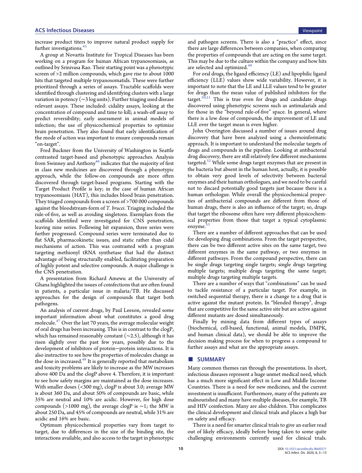# **ACS Infectious Diseases Viewpoint ACS Infectious Diseases**

increase product titers to improve natural product supply for further investigations.<sup>[45](#page-10-0)</sup>

A group at Novartis Institute for Tropical Diseases has been working on a program for human African trypanosomiasis, as outlined by Srinivasa Rao. Their starting point was a phenotypic screen of >2 million compounds, which gave rise to about 1000 hits that targeted multiple trypanosomatids. These were further prioritized through a series of assays. Tractable scaffolds were identified through clustering and identifying clusters with a large variation in potency (∼3 log units). Further triaging used disease relevant assays. These included: cidality assays, looking at the concentration of compound and time to kill; a wash-off assay to predict reversibility; early assessment in animal models of infection; the use of physicochemical properties to optimize brain penetration. They also found that early identification of the mode of action was important to ensure compounds remain "on-target".

Fred Buckner from the University of Washington in Seattle contrasted target-based and phenotypic approaches. Analysis from Swinney and Anthony<sup>[46](#page-10-0)</sup> indicates that the majority of first in class new medicines are discovered through a phenotypic approach, while the follow-on compounds are more often discovered through target-based programs. Starting with the Target Product Profile is key; in the case of human African trypanosomiasis (HAT), this includes blood brain penetration. They triaged compounds from a screen of >700 000 compounds against the bloodstream-form of T. brucei. Triaging included the rule-of-five, as well as avoiding singletons. Exemplars from the scaffolds identified were investigated for CNS penetration, leaving nine series. Following hit expansion, three series were further progressed. Compound series were terminated due to flat SAR, pharmacokinetic issues, and static rather than cidal mechanisms of action. This was contrasted with a program targeting methionyl tRNA synthetase that had the distinct advantage of being structurally enabled, facilitating preparation of highly potent and selective compounds. A major challenge is the CNS penetration.

A presentation from Richard Amewu at the University of Ghana highlighted the issues of coinfections that are often found in patients, a particular issue in malaria/TB. He discussed approaches for the design of compounds that target both pathogens.

An analysis of current drugs, by Paul Leeson, revealed some important information about what constitutes a good drug molecule.<sup>[47](#page-10-0)</sup> Over the last 70 years, the average molecular weight of oral drugs has been increasing. This is in contrast to the clogP, which has remained reasonably constant  $(\sim 2.5)$ , although it has risen slightly over the past few years, possibly due to the development of inhibitors of protein−protein interactions. It is also instructive to see how the properties of molecules change as the dose in increased. $48$  It is generally reported that metabolism and toxicity problems are likely to increase as the MW increases above 400 Da and the clogP above 4. Therefore, it is important to see how safety margins are maintained as the dose increases. With smaller doses (<300 mg), clogP is about 3.0; average MW is about 360 Da, and about 50% of compounds are basic, while 35% are neutral and 10% are acidic. However, for high dose compounds (>1000 mg), the average clogP is ∼1; the MW is about 250 Da, and 45% of compounds are neutral, while 31% are acidic and 16% are basic.

Optimum physicochemical properties vary from target to target, due to differences in the size of the binding site, the interactions available, and also access to the target in phenotypic

and pathogen screens. There is also a "practice" effect, since there are large differences between companies, when comparing the properties of compounds that are acting on the same target. This may be due to the culture within the company and how hits are selected and optimized.<sup>[49](#page-10-0)</sup>

For oral drugs, the ligand efficiency (LE) and lipophilic ligand efficiency (LLE) values show wide variability. However, it is important to note that the LE and LLE values tend to be greater for drugs than the mean value of published inhibitors for the target. $50,51$  $50,51$  $50,51$  This is true even for drugs and candidate drugs discovered using phenotypic screens such as antimalarials and for those in the "beyond rule-of-five" space. In general, where there is a low dose of compounds, the improvement of LE and LLE over the target mean is even higher.

John Overington discussed a number of issues around drug discovery that have been analyzed using a chemoinformatic approach. It is important to understand the molecular targets of drugs and compounds in the pipeline. Looking at antibacterial drug discovery, there are still relatively few different mechanisms targeted.<sup>[52](#page-10-0)</sup> While some drugs target enzymes that are present in the bacteria but absent in the human host, actually, it is possible to obtain very good levels of selectivity between bacterial enzymes and their human orthologues, and we need to be careful not to discard potentially good targets just because there is a human orthologue. While overall the physicochemical properties of antibacterial compounds are different from those of human drugs, there is also an influence of the target; so, drugs that target the ribosome often have very different physicochemical properties from those that target a typical cytoplasmic enzyme.<sup>5</sup>

There are a number of different approaches that can be used for developing drug combinations. From the target perspective, there can be two different active sites on the same target, two different enzymes in the same pathway, or two enzymes in different pathways. From the compound perspective, there can be single drugs targeting single targets; single drugs targeting multiple targets; multiple drugs targeting the same target; multiple drugs targeting multiple targets.

There are a number of ways that "combinations" can be used to tackle resistance of a particular target. For example, in switched sequential therapy, there is a change to a drug that is active against the mutant protein. In "blended therapy", drugs that are competitive for the same active site but are active against different mutants are dosed simultaneously.

Finally by mining data from different types of assays (biochemical, cell-based, functional, animal models, DMPK, and human clinical data), we should be able to improve the decision making process for when to progress a compound to further assays and what are the appropriate assays.

#### ■ SUMMARY

Many common themes ran through the presentations. In short, infectious diseases represent a huge unmet medical need, which has a much more significant effect in Low and Middle Income Countries. There is a need for new medicines, and the current investment is insufficient. Furthermore, many of the patients are malnourished and many have multiple diseases, for example, TB and HIV coinfection. Many are also children. This complicates the clinical development and clinical trials and places a high bar on safety and efficacy.

There is a need for smarter clinical trials to give an earlier read out of likely efficacy, ideally before being taken to some quite challenging environments currently used for clinical trials.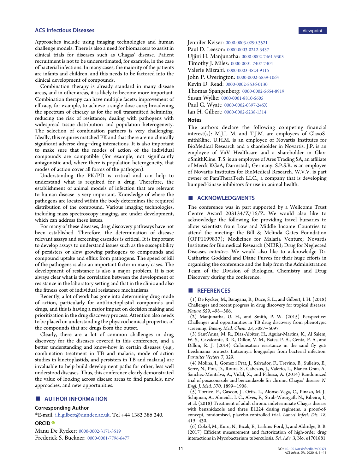#### <span id="page-8-0"></span>ACS Infectious Diseases Viewpoint

Approaches include using imaging technologies and human challenge models. There is also a need for biomarkers to assist in clinical trials for diseases such as Chagas' disease. Patient recruitment is not to be underestimated, for example, in the case of bacterial infections. In many cases, the majority of the patients are infants and children, and this needs to be factored into the clinical development of compounds.

Combination therapy is already standard in many disease areas, and in other areas, it is likely to become more important. Combination therapy can have multiple facets: improvement of efficacy, for example, to achieve a single dose cure; broadening the spectrum of efficacy as for the soil transmitted helminths; reducing the risk of resistance; dealing with pathogens with widespread tissue distribution and population heterogeneity. The selection of combination partners is very challenging. Ideally, this requires matched PK and that there are no clinically significant adverse drug−drug interactions. It is also important to make sure that the modes of action of the individual compounds are compatible (for example, not significantly antagonistic and, where there is population heterogeneity, that modes of action cover all forms of the pathogen).

Understanding the PK/PD is critical and can help to understand what is required for a drug. Therefore, the establishment of animal models of infection that are relevant to human disease is very important. Knowledge of where the pathogens are located within the body determines the required distribution of the compound. Various imaging technologies, including mass spectroscopy imaging, are under development, which can address these issues.

For many of these diseases, drug discovery pathways have not been established. Therefore, the determination of disease relevant assays and screening cascades is critical. It is important to develop assays to understand issues such as the susceptibility of persisters or slow growing pathogens to compounds and compound uptake and efflux from pathogens. The speed of kill of the pathogens is also an important factor in many cases. The development of resistance is also a major problem. It is not always clear what is the correlation between the development of resistance in the laboratory setting and that in the clinic and also the fitness cost of individual resistance mechanisms.

Recently, a lot of work has gone into determining drug mode of action, particularly for antikinetoplastid compounds and drugs, and this is having a major impact on decision making and prioritization in the drug discovery process. Attention also needs to be placed on understanding the physicochemical properties of the compounds that are drugs from the outset.

Clearly, there are a lot of common challenges in drug discovery for the diseases covered in this conference, and a better understanding and know-how in certain diseases (e.g., combination treatment in TB and malaria, mode of action studies in kinetoplastids, and persisters in TB and malaria) are invaluable to help build development paths for other, less well understood diseases. Thus, this conference clearly demonstrated the value of looking across disease areas to find parallels, new approaches, and new opportunities.

#### ■ AUTHOR INFORMATION

#### Corresponding Author

\*E-mail: [i.h.gilbert@dundee.ac.uk](mailto:i.h.gilbert@dundee.ac.uk). Tel +44 1382 386 240.

## ORCID<sup>®</sup>

Manu De Rycker: [0000-0002-3171-3519](http://orcid.org/0000-0002-3171-3519)

Frederick S. Buckner: [0000-0001-7796-6477](http://orcid.org/0000-0001-7796-6477)

Jennifer Keiser: [0000-0003-0290-3521](http://orcid.org/0000-0003-0290-3521) Paul D. Leeson: [0000-0003-0212-3437](http://orcid.org/0000-0003-0212-3437) Ujjini H. Manjunatha: [0000-0002-7461-9303](http://orcid.org/0000-0002-7461-9303) Timothy J. Miles: [0000-0001-7407-7404](http://orcid.org/0000-0001-7407-7404) Valerie Mizrahi: [0000-0003-4824-9115](http://orcid.org/0000-0003-4824-9115) John P. Overington: [0000-0002-5859-1064](http://orcid.org/0000-0002-5859-1064) Kevin D. Read: [0000-0002-8536-0130](http://orcid.org/0000-0002-8536-0130) Thomas Spangenberg: [0000-0002-5654-8919](http://orcid.org/0000-0002-5654-8919) Susan Wyllie: [0000-0001-8810-5605](http://orcid.org/0000-0001-8810-5605) Paul G. Wyatt: [0000-0002-0397-245X](http://orcid.org/0000-0002-0397-245X) Ian H. Gilbert: [0000-0002-5238-1314](http://orcid.org/0000-0002-5238-1314)

#### **Notes**

The authors declare the following competing financial interest(s): M.J.L.-M. and T.J.M. are employees of GlaxoSmithKline. U.H.M. is an employee of Novartis Institutes for BioMedical Research and a shareholder in Novartis. J.P. is an employee of ViiV Healthcare and a shareholder in GlaxoSmithKline. T.S. is an employee of Ares Trading SA, an affiliate of Merck KGaA, Darmstadt, Germany. S.P.S.R. is an employee of Novartis Institutes for BioMedical Research. W.V.V. is part owner of ParaTheraTech LLC., a company that is developing bumped-kinase inhibitors for use in animal health.

#### ■ ACKNOWLEDGMENTS

The conference was in part supported by a Wellcome Trust Centre Award  $203134/Z/16/Z$ . We would also like to acknowledge the following for providing travel bursaries to allow scientists from Low and Middle Income Countries to attend the meeting: the Bill & Melinda Gates Foundation (OPP1199837); Medicines for Malaria Venture; Novartis Institutes for Biomedical Research (NIBR); Drug for Neglected Diseases initiative. We would also like to acknowledge Dr. Catharine Goddard and Diane Purves for their huge efforts in organizing the conference and the help from the Administration Team of the Division of Biological Chemistry and Drug Discovery during the conference.

#### ■ REFERENCES

(1) De Rycker, M., Baragana, B., Duce, S. L., and Gilbert, I. H. (2018) Challenges and recent progress in drug discovery for tropical diseases. Nature 559, 498−506.

(2) Manjunatha, U. H., and Smith, P. W. (2015) Perspective: Challenges and opportunities in TB drug discovery from phenotypic screening. Bioorg. Med. Chem. 23, 5087−5097.

(3) Sant'Anna, M. R., Diaz-Albiter, H., Aguiar-Martins, K., Al Salem, W. S., Cavalcante, R. R., Dillon, V. M., Bates, P. A., Genta, F. A., and Dillon, R. J. (2014) Colonisation resistance in the sand fly gut: Leishmania protects Lutzomyia longipalpis from bacterial infection. Parasites Vectors 7, 329.

(4) Molina, I., Gomez i Prat, J., Salvador, F., Trevino, B., Sulleiro, E., Serre, N., Pou, D., Roure, S., Cabezos, J., Valerio, L., Blanco-Grau, A., Sanchez-Montalva, A., Vidal, X., and Pahissa, A. (2014) Randomized trial of posaconazole and benznidazole for chronic Chagas' disease. N. Engl. J. Med. 370, 1899−1908.

(5) Torrico, F., Gascon, J., Ortiz, L., Alonso-Vega, C., Pinazo, M. J., Schijman, A., Almeida, I. C., Alves, F., Strub-Wourgaft, N., Ribeiro, I., et al. (2018) Treatment of adult chronic indeterminate Chagas disease with benznidazole and three E1224 dosing regimens: a proof-ofconcept, randomised, placebo-controlled trial. Lancet Infect. Dis. 18, 419−430.

(6) Cokol, M., Kuru, N., Bicak, E., Larkins-Ford, J., and Aldridge, B. B. (2017) Efficient measurement and factorization of high-order drug interactions in Mycobacterium tuberculosis. Sci. Adv. 3, No. e1701881.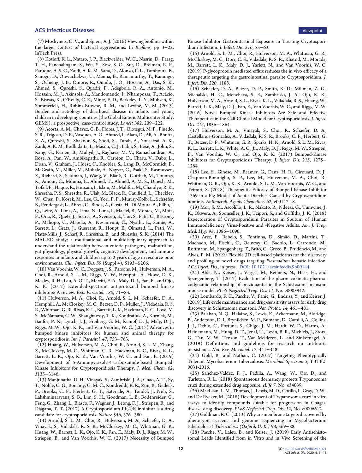<span id="page-9-0"></span>(7) Moshynets, O. V., and Spiers, A. J. (2016) Viewing biofilms within the larger context of bacterial aggregations. In Biofilms, pp 3−22, InTech Press.

(8) Kotloff, K. L., Nataro, J. P., Blackwelder, W. C., Nasrin, D., Farag, T. H., Panchalingam, S., Wu, Y., Sow, S. O., Sur, D., Breiman, R. F., Faruque, A. S. G., Zaidi, A. K. M., Saha, D., Alonso, P. L., Tamboura, B., Sanogo, D., Onwuchekwa, U., Manna, B., Ramamurthy, T., Kanungo, S., Ochieng, J. B., Omore, R., Oundo, J. O., Hossain, A., Das, S. K., Ahmed, S., Qureshi, S., Quadri, F., Adegbola, R. A., Antonio, M., Hossain, M. J., Akinsola, A., Mandomando, I., Nhampossa, T., Acácio, S., Biswas, K., O'Reilly, C. E., Mintz, E. D., Berkeley, L. Y., Muhsen, K., Sommerfelt, H., Robins-Browne, R. M., and Levine, M. M. (2013) Burden and aetiology of diarrhoeal disease in infants and young children in developing countries (the Global Enteric Multicenter Study, GEMS): a prospective, case-control study. Lancet 382, 209−222.

(9) Acosta, A. M., Chavez, C. B., Flores, J. T., Olotegui, M. P., Pinedo, S. R., Trigoso, D. R., Vasquez, A. O., Ahmed, I., Alam, D., Ali, A., Bhutta, Z. A., Qureshi, S., Shakoor, S., Soofi, S., Turab, A., Yousafzai, A. K., Zaidi, A. K. M., Bodhidatta, L., Mason, C. J., Babji, S., Bose, A., John, S., Kang, G., Kurien, B., Muliyil, J., Raghava, M. V., Ramachandran, A., Rose, A., Pan, W., Ambikapathi, R., Carreon, D., Charu, V., Dabo, L., Doan, V., Graham, J., Hoest, C., Knobler, S., Lang, D., McCormick, B., McGrath, M., Miller, M., Mohale, A., Nayyar, G., Psaki, S., Rasmussen, Z., Richard, S., Seidman, J., Wang, V., Blank, R., Gottlieb, M., Tountas, K., Amour, C., Mduma, E., Ahmed, T., Ahmed, A. M. S., Dinesh, M., Tofail, F., Haque, R., Hossain, I., Islam, M., Mahfuz, M., Chandyo, R. K., Shrestha, P. S., Shrestha, R., Ulak, M., Black, R., Caulfield, L., Checkley, W., Chen, P., Kosek, M., Lee, G., Yori, P. P., Murray-Kolb, L., Schaefer, B., Pendergast, L., Abreu, C., Binda, A., Costa, H., Di Moura, A., Filho, J. Q., Leite, A., Lima, A., Lima, N., Lima, I., Maciel, B., Moraes, M., Mota, F., Oria, R., Quetz, J., Soares, A., Svensen, E., Tor, S., Patil, C., Bessong, P., Mahopo, C., Mapula, A., Nesamvuni, C., Nyathi, E., Samie, A., Barrett, L., Gratz, J., Guerrant, R., Houpt, E., Olmsted, L., Petri, W., Platts-Mills, J., Scharf, R., Shrestha, B., and Shrestha, S. K. (2014) The MAL-ED study: a multinational and multidisciplinary approach to understand the relationship between enteric pathogens, malnutrition, gut physiology, physical growth, cognitive development, and immune responses in infants and children up to 2 years of age in resource-poor environments. Clin. Infect. Dis. 59 (Suppl 4), S193−S206.

(10) Van Voorhis, W. C., Doggett, J. S., Parsons, M., Hulverson, M. A., Choi, R., Arnold, S. L. M., Riggs, M. W., Hemphill, A., Howe, D. K., Mealey, R. H., Lau, A. O. T., Merritt, E. A., Maly, D. J., Fan, E., and Ojo, K. K. (2017) Extended-spectrum antiprotozoal bumped kinase inhibitors: A review. Exp. Parasitol. 180, 71−83.

(11) Hulverson, M. A., Choi, R., Arnold, S. L. M., Schaefer, D. A., Hemphill, A., McCloskey, M. C., Betzer, D. P., Muller, J., Vidadala, R. S. R., Whitman, G. R., Rivas, K. L., Barrett, L. K., Hackman, R. C., Love, M. S., McNamara, C. W., Shaughnessy, T. K., Kondratiuk, A., Kurnick, M., Banfor, P. N., Lynch, J. J., Freiberg, G. M., Kempf, D. J., Maly, D. J., Riggs, M. W., Ojo, K. K., and Van Voorhis, W. C. (2017) Advances in bumped kinase inhibitors for human and animal therapy for cryptosporidiosis. Int. J. Parasitol. 47, 753−763.

(12) Huang, W., Hulverson, M. A., Choi, R., Arnold, S. L. M., Zhang, Z., McCloskey, M. C., Whitman, G. R., Hackman, R. C., Rivas, K. L., Barrett, L. K., Ojo, K. K., Van Voorhis, W. C., and Fan, E. (2019) Development of 5-Aminopyrazole-4-carboxamide-based Bumped-Kinase Inhibitors for Cryptosporidiosis Therapy. J. Med. Chem. 62, 3135−3146.

(13) Manjunatha, U. H., Vinayak, S., Zambriski, J. A., Chao, A. T., Sy, T., Noble, C. G., Bonamy, G. M. C., Kondreddi, R. R., Zou, B., Gedeck, P., Brooks, C. F., Herbert, G. T., Sateriale, A., Tandel, J., Noh, S., Lakshminarayana, S. B., Lim, S. H., Goodman, L. B., Bodenreider, C., Feng, G., Zhang, L., Blasco, F., Wagner, J., Leong, F. J., Striepen, B., and Diagana, T. T. (2017) A Cryptosporidium PI(4)K inhibitor is a drug candidate for cryptosporidiosis. Nature 546, 376−380.

(14) Arnold, S. L. M., Choi, R., Hulverson, M. A., Schaefer, D. A., Vinayak, S., Vidadala, R. S. R., McCloskey, M. C., Whitman, G. R., Huang, W., Barrett, L. K., Ojo, K. K., Fan, E., Maly, D. J., Riggs, M. W., Striepen, B., and Van Voorhis, W. C. (2017) Necessity of Bumped Kinase Inhibitor Gastrointestinal Exposure in Treating Cryptosporidium Infection. J. Infect. Dis. 216, 55−63.

(15) Arnold, S. L. M., Choi, R., Hulverson, M. A., Whitman, G. R., McCloskey, M. C., Dorr, C. S., Vidadala, R. S. R., Khatod, M., Morada, M., Barrett, L. K., Maly, D. J., Yarlett, N., and Van Voorhis, W. C. (2019) P-glycoprotein mediated efflux reduces the in vivo efficacy of a therapeutic targeting the gastrointestinal parasite Cryptosporidium. J. Infect. Dis. 220, 1188.

(16) Schaefer, D. A., Betzer, D. P., Smith, K. D., Millman, Z. G., Michalski, H. C., Menchaca, S. E., Zambriski, J. A., Ojo, K. K., Hulverson, M. A., Arnold, S. L., Rivas, K. L., Vidadala, R. S., Huang, W., Barrett, L. K., Maly, D. J., Fan, E., Van Voorhis, W. C., and Riggs, M. W. (2016) Novel Bumped Kinase Inhibitors Are Safe and Effective Therapeutics in the Calf Clinical Model for Cryptosporidiosis. J. Infect. Dis. 214, 1856-1864.

(17) Hulverson, M. A., Vinayak, S., Choi, R., Schaefer, D. A., Castellanos-Gonzalez, A., Vidadala, R. S. R., Brooks, C. F., Herbert, G. T., Betzer, D. P., Whitman, G. R., Sparks, H. N., Arnold, S. L. M., Rivas, K. L., Barrett, L. K., White, A. C., Jr., Maly, D. J., Riggs, M. W., Striepen, B., Van Voorhis, W. C., and Ojo, K. K. (2017) Bumped-Kinase Inhibitors for Cryptosporidiosis Therapy. J. Infect. Dis. 215, 1275− 1284.

(18) Lee, S., Ginese, M., Beamer, G., Danz, H. R., Girouard, D. J., Chapman-Bonofiglio, S. P., Lee, M., Hulverson, M. A., Choi, R., Whitman, G. R., Ojo, K. K., Arnold, S. L. M., Van Voorhis, W. C., and Tzipori, S. (2018) Therapeutic Efficacy of Bumped Kinase Inhibitor 1369 in a Pig Model of Acute Diarrhea Caused by Cryptosporidium hominis. Antimicrob. Agents Chemother. 62, e00147-18.

(19) Mor, S. M., Ascolillo, L. R., Nakato, R., Ndeezi, G., Tumwine, J. K., Okwera, A., Sponseller, J. K., Tzipori, S., and Griffiths, J. K. (2018) Expectoration of Cryptosporidium Parasites in Sputum of Human Immunodeficiency Virus-Positive and -Negative Adults. Am. J. Trop. Med. Hyg. 98, 1086−1090.

(20) Arez, F., Rebelo, S., Fontinha, D., Simao, D., Martins, T., ̃ Machado, M., Fischli, C., Oeuvray, C., Badolo, L., Carrondo, M., Rottmann, M., Spangenberg, T., Brito, C., Greco, B., Prudêncio, M., and Alves, P. M. (2019) Flexible 3D cell-based platforms for the discovery and profiling of novel drugs targeting Plasmodium hepatic infection. ACS Infect. Dis., in press, [DOI: 10.1021/acsinfecdis.9b00144](http://dx.doi.org/10.1021/acsinfecdis.9b00144)

(21) Abla, N., Keiser, J., Vargas, M., Reimers, N., Haas, H., and Spangenberg, T. (2017) Evaluation of the pharmacokinetic-pharmacodynamic relationship of praziquantel in the Schistosoma mansoni mouse model. PLoS Neglected Trop. Dis. 11, No. e0005942.

(22) Lombardo, F. C., Pasche, V., Panic, G., Endriss, Y., and Keiser, J. (2019) Life cycle maintenance and drug-sensitivity assays for early drug discovery in Schistosoma mansoni. Nat. Protoc. 14, 461−481.

(23) Balaban, N. Q., Helaine, S., Lewis, K., Ackermann, M., Aldridge, B., Andersson, D. I., Brynildsen, M. P., Bumann, D., Camilli, A., Collins, J. J., Dehio, C., Fortune, S., Ghigo, J. M., Hardt, W. D., Harms, A., Heinemann, M., Hung, D. T., Jenal, U., Levin, B. R., Michiels, J., Storz, G., Tan, M. W., Tenson, T., Van Melderen, L., and Zinkernagel, A. (2019) Definitions and guidelines for research on antibiotic persistence. Nat. Rev. Microbiol. 17, 441−448.

(24) Gold, B., and Nathan, C. (2017) Targeting Phenotypically Tolerant Mycobacterium tuberculosis. Microbiol. Spectrum 5, TBTB2- 0031-2016.

(25) Sanchez-Valdez, F. J., Padilla, A., Wang, W., Orr, D., and Tarleton, R. L. (2018) Spontaneous dormancy protects Trypanosoma cruzi during extended drug exposure. eLife 7, No. e34039.

(26) MacLean, L. M., Thomas, J., Lewis, M. D., Cotillo, I., Gray, D. W., and De Rycker, M. (2018) Development of Trypanosoma cruzi in vitro assays to identify compounds suitable for progression in Chagas' disease drug discovery. PLoS Neglected Trop. Dis. 12, No. e0006612.

(27) Goldman, R. C. (2013) Why are membrane targets discovered by phenotypic screens and genome sequencing in Mycobacterium tuberculosis? Tuberculosis (Oxford, U. K.) 93, 569−88.

(28) Pasche, V., Laleu, B., and Keiser, J. (2019) Early Antischistosomal Leads Identified from in Vitro and in Vivo Screening of the